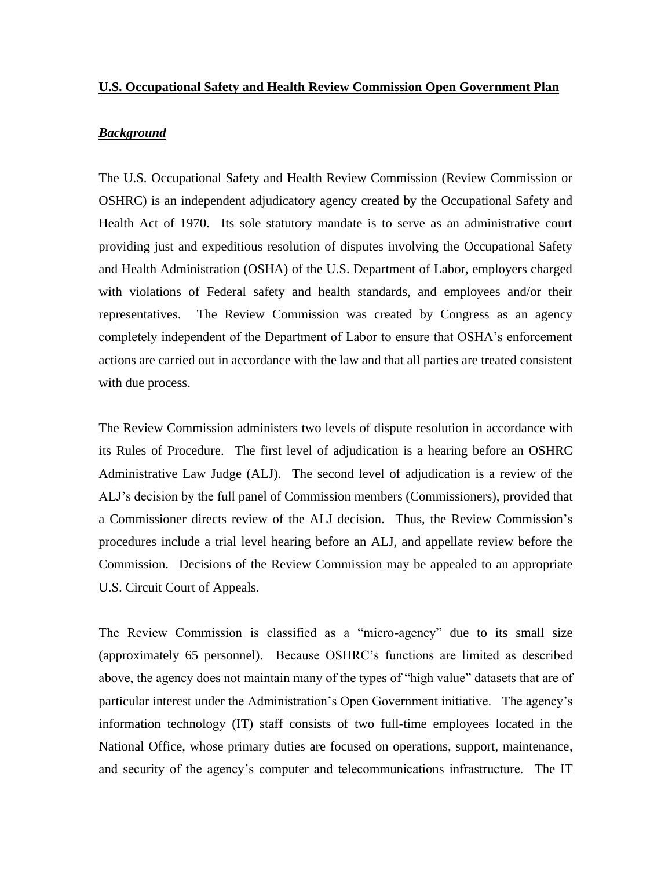## **U.S. Occupational Safety and Health Review Commission Open Government Plan**

# *Background*

The U.S. Occupational Safety and Health Review Commission (Review Commission or OSHRC) is an independent adjudicatory agency created by the Occupational Safety and Health Act of 1970. Its sole statutory mandate is to serve as an administrative court providing just and expeditious resolution of disputes involving the Occupational Safety and Health Administration (OSHA) of the U.S. Department of Labor, employers charged with violations of Federal safety and health standards, and employees and/or their representatives. The Review Commission was created by Congress as an agency completely independent of the Department of Labor to ensure that OSHA's enforcement actions are carried out in accordance with the law and that all parties are treated consistent with due process.

The Review Commission administers two levels of dispute resolution in accordance with its Rules of Procedure. The first level of adjudication is a hearing before an OSHRC Administrative Law Judge (ALJ). The second level of adjudication is a review of the ALJ's decision by the full panel of Commission members (Commissioners), provided that a Commissioner directs review of the ALJ decision. Thus, the Review Commission's procedures include a trial level hearing before an ALJ, and appellate review before the Commission. Decisions of the Review Commission may be appealed to an appropriate U.S. Circuit Court of Appeals.

The Review Commission is classified as a "micro-agency" due to its small size (approximately 65 personnel). Because OSHRC's functions are limited as described above, the agency does not maintain many of the types of "high value" datasets that are of particular interest under the Administration's Open Government initiative. The agency's information technology (IT) staff consists of two full-time employees located in the National Office, whose primary duties are focused on operations, support, maintenance, and security of the agency's computer and telecommunications infrastructure. The IT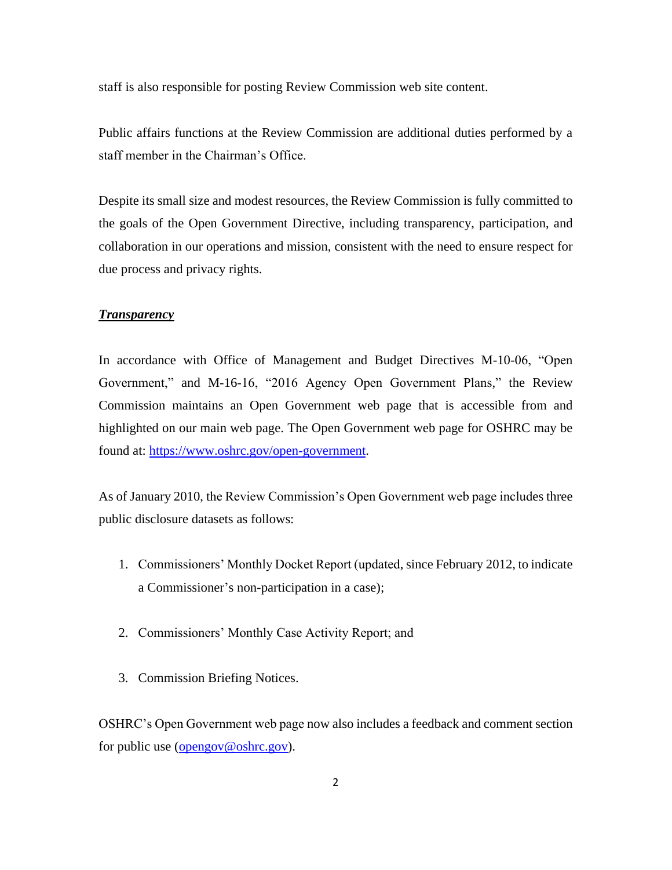staff is also responsible for posting Review Commission web site content.

Public affairs functions at the Review Commission are additional duties performed by a staff member in the Chairman's Office.

Despite its small size and modest resources, the Review Commission is fully committed to the goals of the Open Government Directive, including transparency, participation, and collaboration in our operations and mission, consistent with the need to ensure respect for due process and privacy rights.

#### *Transparency*

In accordance with Office of Management and Budget Directives M-10-06, "Open Government," and M-16-16, "2016 Agency Open Government Plans," the Review Commission maintains an Open Government web page that is accessible from and highlighted on our main web page. The Open Government web page for OSHRC may be found at: [https://www.oshrc.gov/open-government.](https://www.oshrc.gov/open-government)

As of January 2010, the Review Commission's Open Government web page includes three public disclosure datasets as follows:

- 1. Commissioners' Monthly Docket Report (updated, since February 2012, to indicate a Commissioner's non-participation in a case);
- 2. Commissioners' Monthly Case Activity Report; and
- 3. Commission Briefing Notices.

OSHRC's Open Government web page now also includes a feedback and comment section for public use [\(opengov@oshrc.gov\)](mailto:opengov@oshrc.gov).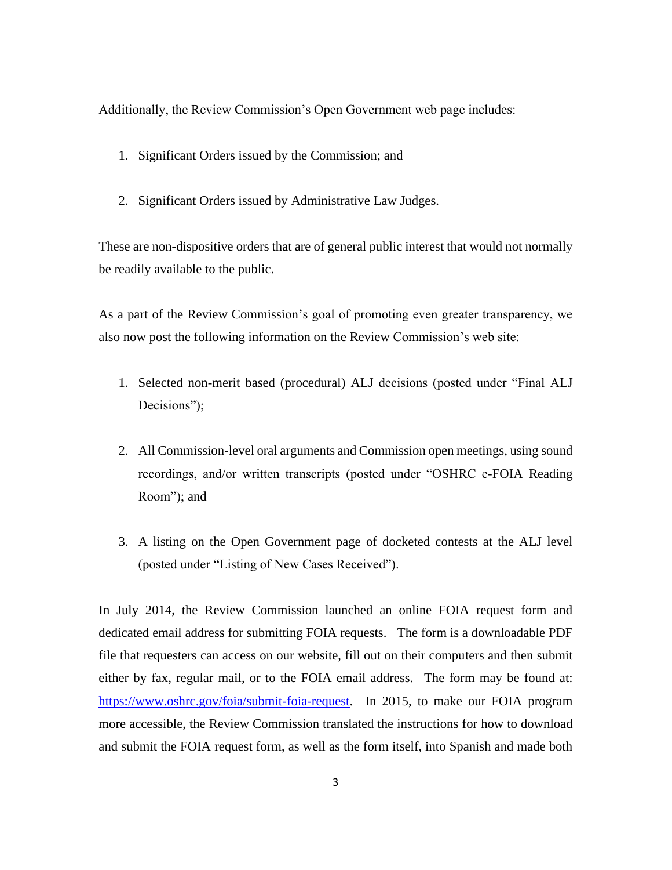Additionally, the Review Commission's Open Government web page includes:

- 1. Significant Orders issued by the Commission; and
- 2. Significant Orders issued by Administrative Law Judges.

These are non-dispositive orders that are of general public interest that would not normally be readily available to the public.

As a part of the Review Commission's goal of promoting even greater transparency, we also now post the following information on the Review Commission's web site:

- 1. Selected non-merit based (procedural) ALJ decisions (posted under "Final ALJ Decisions":
- 2. All Commission-level oral arguments and Commission open meetings, using sound recordings, and/or written transcripts (posted under "OSHRC e-FOIA Reading Room"); and
- 3. A listing on the Open Government page of docketed contests at the ALJ level (posted under "Listing of New Cases Received").

In July 2014, the Review Commission launched an online FOIA request form and dedicated email address for submitting FOIA requests. The form is a downloadable PDF file that requesters can access on our website, fill out on their computers and then submit either by fax, regular mail, or to the FOIA email address. The form may be found at: [https://www.oshrc.gov/foia/submit-foia-request.](https://www.oshrc.gov/foia/submit-foia-request) In 2015, to make our FOIA program more accessible, the Review Commission translated the instructions for how to download and submit the FOIA request form, as well as the form itself, into Spanish and made both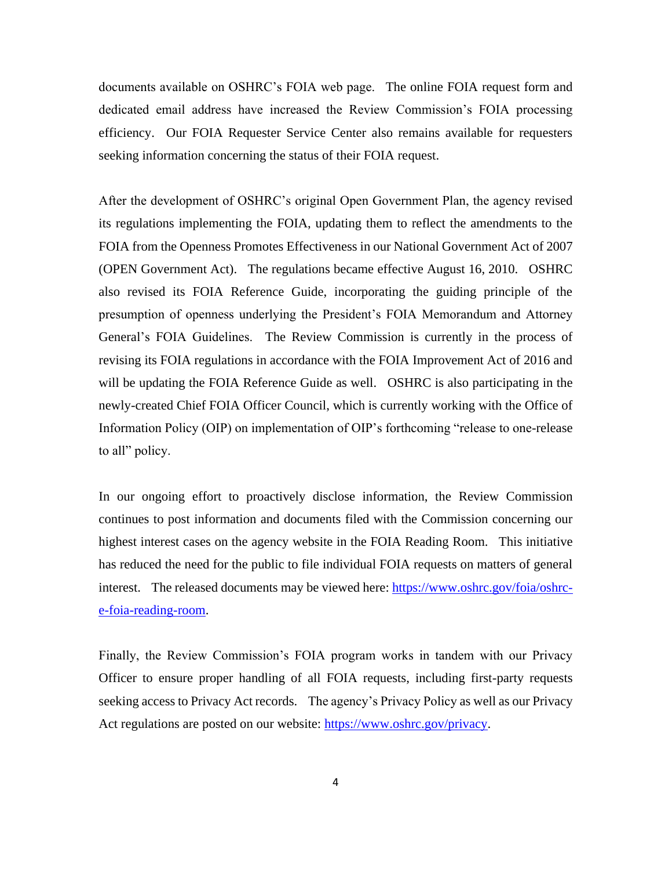documents available on OSHRC's FOIA web page. The online FOIA request form and dedicated email address have increased the Review Commission's FOIA processing efficiency. Our FOIA Requester Service Center also remains available for requesters seeking information concerning the status of their FOIA request.

After the development of OSHRC's original Open Government Plan, the agency revised its regulations implementing the FOIA, updating them to reflect the amendments to the FOIA from the Openness Promotes Effectiveness in our National Government Act of 2007 (OPEN Government Act). The regulations became effective August 16, 2010. OSHRC also revised its FOIA Reference Guide, incorporating the guiding principle of the presumption of openness underlying the President's FOIA Memorandum and Attorney General's FOIA Guidelines. The Review Commission is currently in the process of revising its FOIA regulations in accordance with the FOIA Improvement Act of 2016 and will be updating the FOIA Reference Guide as well. OSHRC is also participating in the newly-created Chief FOIA Officer Council, which is currently working with the Office of Information Policy (OIP) on implementation of OIP's forthcoming "release to one-release to all" policy.

In our ongoing effort to proactively disclose information, the Review Commission continues to post information and documents filed with the Commission concerning our highest interest cases on the agency website in the FOIA Reading Room. This initiative has reduced the need for the public to file individual FOIA requests on matters of general interest. The released documents may be viewed here: [https://www.oshrc.gov/foia/oshrc](https://www.oshrc.gov/foia/oshrc-e-foia-reading-room)[e-foia-reading-room.](https://www.oshrc.gov/foia/oshrc-e-foia-reading-room)

Finally, the Review Commission's FOIA program works in tandem with our Privacy Officer to ensure proper handling of all FOIA requests, including first-party requests seeking access to Privacy Act records. The agency's Privacy Policy as well as our Privacy Act regulations are posted on our website: [https://www.oshrc.gov/privacy.](https://www.oshrc.gov/privacy)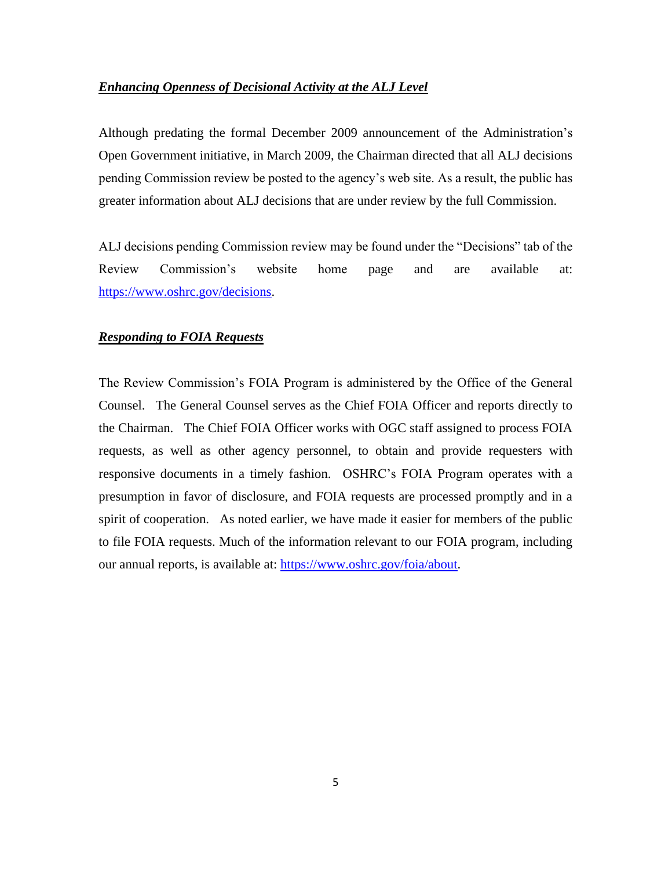## *Enhancing Openness of Decisional Activity at the ALJ Level*

Although predating the formal December 2009 announcement of the Administration's Open Government initiative, in March 2009, the Chairman directed that all ALJ decisions pending Commission review be posted to the agency's web site. As a result, the public has greater information about ALJ decisions that are under review by the full Commission.

ALJ decisions pending Commission review may be found under the "Decisions" tab of the Review Commission's website home page and are available at: [https://www.oshrc.gov/decisions.](https://www.oshrc.gov/decisions)

## *Responding to FOIA Requests*

The Review Commission's FOIA Program is administered by the Office of the General Counsel. The General Counsel serves as the Chief FOIA Officer and reports directly to the Chairman. The Chief FOIA Officer works with OGC staff assigned to process FOIA requests, as well as other agency personnel, to obtain and provide requesters with responsive documents in a timely fashion. OSHRC's FOIA Program operates with a presumption in favor of disclosure, and FOIA requests are processed promptly and in a spirit of cooperation. As noted earlier, we have made it easier for members of the public to file FOIA requests. Much of the information relevant to our FOIA program, including our annual reports, is available at: [https://www.oshrc.gov/foia/about.](https://www.oshrc.gov/foia/about)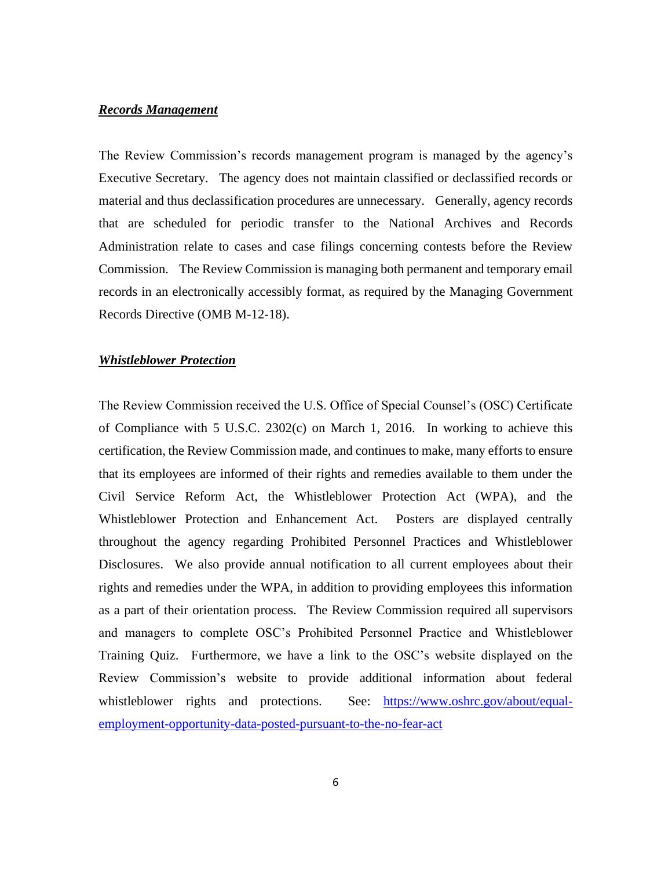## *Records Management*

The Review Commission's records management program is managed by the agency's Executive Secretary. The agency does not maintain classified or declassified records or material and thus declassification procedures are unnecessary. Generally, agency records that are scheduled for periodic transfer to the National Archives and Records Administration relate to cases and case filings concerning contests before the Review Commission. The Review Commission is managing both permanent and temporary email records in an electronically accessibly format, as required by the Managing Government Records Directive (OMB M-12-18).

#### *Whistleblower Protection*

The Review Commission received the U.S. Office of Special Counsel's (OSC) Certificate of Compliance with 5 U.S.C. 2302(c) on March 1, 2016. In working to achieve this certification, the Review Commission made, and continues to make, many efforts to ensure that its employees are informed of their rights and remedies available to them under the Civil Service Reform Act, the Whistleblower Protection Act (WPA), and the Whistleblower Protection and Enhancement Act. Posters are displayed centrally throughout the agency regarding Prohibited Personnel Practices and Whistleblower Disclosures. We also provide annual notification to all current employees about their rights and remedies under the WPA, in addition to providing employees this information as a part of their orientation process. The Review Commission required all supervisors and managers to complete OSC's Prohibited Personnel Practice and Whistleblower Training Quiz. Furthermore, we have a link to the OSC's website displayed on the Review Commission's website to provide additional information about federal whistleblower rights and protections. See: [https://www.oshrc.gov/about/equal](https://www.oshrc.gov/about/equal-employment-opportunity-data-posted-pursuant-to-the-no-fear-act)[employment-opportunity-data-posted-pursuant-to-the-no-fear-act](https://www.oshrc.gov/about/equal-employment-opportunity-data-posted-pursuant-to-the-no-fear-act)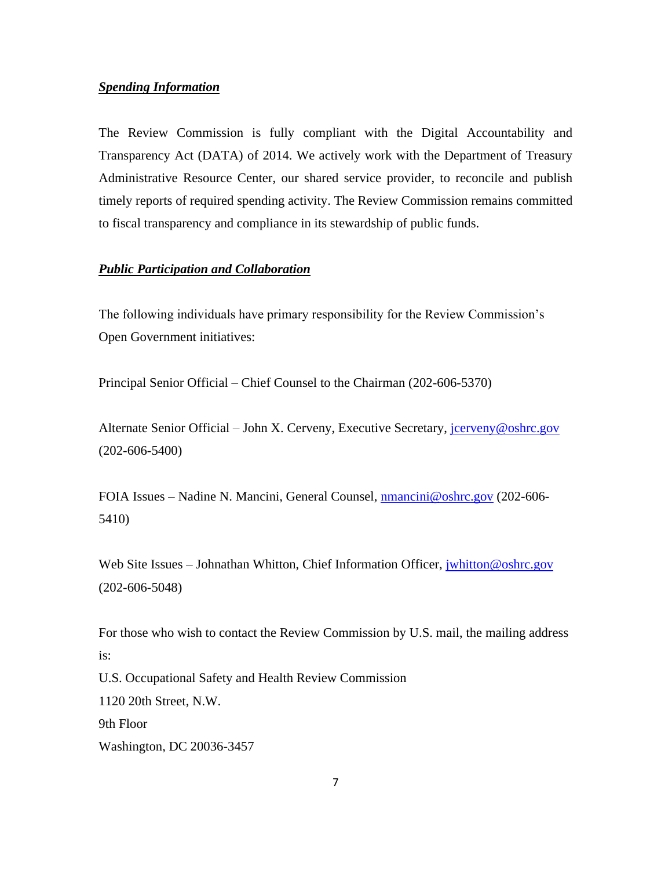## *Spending Information*

The Review Commission is fully compliant with the Digital Accountability and Transparency Act (DATA) of 2014. We actively work with the Department of Treasury Administrative Resource Center, our shared service provider, to reconcile and publish timely reports of required spending activity. The Review Commission remains committed to fiscal transparency and compliance in its stewardship of public funds.

## *Public Participation and Collaboration*

The following individuals have primary responsibility for the Review Commission's Open Government initiatives:

Principal Senior Official – Chief Counsel to the Chairman (202-606-5370)

Alternate Senior Official – John X. Cerveny, Executive Secretary, *jcerveny@oshrc.gov* (202-606-5400)

FOIA Issues – Nadine N. Mancini, General Counsel, [nmancini@oshrc.gov](mailto:nmancini@oshrc.gov) (202-606- 5410)

Web Site Issues – Johnathan Whitton, Chief Information Officer, [jwhitton@oshrc.gov](mailto:support@oshrc.gov?subject=Website%20Issues%20From%20Open%20Government) (202-606-5048)

For those who wish to contact the Review Commission by U.S. mail, the mailing address is: U.S. Occupational Safety and Health Review Commission 1120 20th Street, N.W. 9th Floor Washington, DC 20036-3457